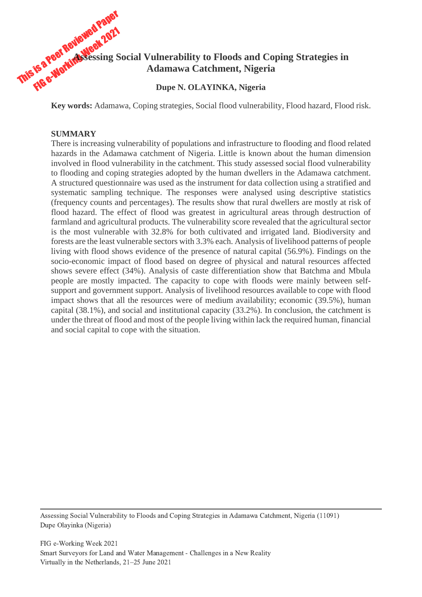

**Key words:** Adamawa, Coping strategies, Social flood vulnerability, Flood hazard, Flood risk.

# **SUMMARY**

There is increasing vulnerability of populations and infrastructure to flooding and flood related hazards in the Adamawa catchment of Nigeria. Little is known about the human dimension involved in flood vulnerability in the catchment. This study assessed social flood vulnerability to flooding and coping strategies adopted by the human dwellers in the Adamawa catchment. A structured questionnaire was used as the instrument for data collection using a stratified and systematic sampling technique. The responses were analysed using descriptive statistics (frequency counts and percentages). The results show that rural dwellers are mostly at risk of flood hazard. The effect of flood was greatest in agricultural areas through destruction of farmland and agricultural products. The vulnerability score revealed that the agricultural sector is the most vulnerable with 32.8% for both cultivated and irrigated land. Biodiversity and forests are the least vulnerable sectors with 3.3% each. Analysis of livelihood patterns of people living with flood shows evidence of the presence of natural capital (56.9%). Findings on the socio-economic impact of flood based on degree of physical and natural resources affected shows severe effect (34%). Analysis of caste differentiation show that Batchma and Mbula people are mostly impacted. The capacity to cope with floods were mainly between selfsupport and government support. Analysis of livelihood resources available to cope with flood impact shows that all the resources were of medium availability; economic (39.5%), human capital (38.1%), and social and institutional capacity (33.2%). In conclusion, the catchment is under the threat of flood and most of the people living within lack the required human, financial and social capital to cope with the situation.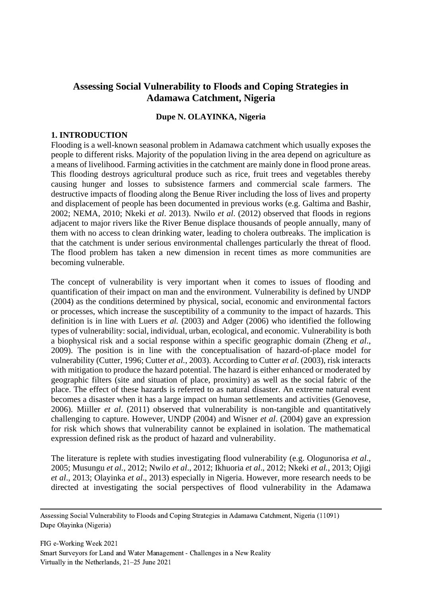# **Assessing Social Vulnerability to Floods and Coping Strategies in Adamawa Catchment, Nigeria**

### **Dupe N. OLAYINKA, Nigeria**

#### **1. INTRODUCTION**

Flooding is a well-known seasonal problem in Adamawa catchment which usually exposes the people to different risks. Majority of the population living in the area depend on agriculture as a means of livelihood. Farming activities in the catchment are mainly done in flood prone areas. This flooding destroys agricultural produce such as rice, fruit trees and vegetables thereby causing hunger and losses to subsistence farmers and commercial scale farmers. The destructive impacts of flooding along the Benue River including the loss of lives and property and displacement of people has been documented in previous works (e.g. Galtima and Bashir, 2002; NEMA, 2010; Nkeki *et al*. 2013). Nwilo *et al*. (2012) observed that floods in regions adjacent to major rivers like the River Benue displace thousands of people annually, many of them with no access to clean drinking water, leading to cholera outbreaks. The implication is that the catchment is under serious environmental challenges particularly the threat of flood. The flood problem has taken a new dimension in recent times as more communities are becoming vulnerable.

The concept of vulnerability is very important when it comes to issues of flooding and quantification of their impact on man and the environment. Vulnerability is defined by UNDP (2004) as the conditions determined by physical, social, economic and environmental factors or processes, which increase the susceptibility of a community to the impact of hazards. This definition is in line with Luers *et al.* (2003) and Adger (2006) who identified the following types of vulnerability: social, individual, urban, ecological, and economic. Vulnerability is both a biophysical risk and a social response within a specific geographic domain (Zheng *et al*., 2009). The position is in line with the conceptualisation of hazard-of-place model for vulnerability (Cutter, 1996; Cutter *et al.*, 2003). According to Cutter *et al*. (2003), risk interacts with mitigation to produce the hazard potential. The hazard is either enhanced or moderated by geographic filters (site and situation of place, proximity) as well as the social fabric of the place. The effect of these hazards is referred to as natural disaster. An extreme natural event becomes a disaster when it has a large impact on human settlements and activities (Genovese, 2006). Miiller *et al*. (2011) observed that vulnerability is non-tangible and quantitatively challenging to capture. However, UNDP (2004) and Wisner *et al*. (2004) gave an expression for risk which shows that vulnerability cannot be explained in isolation. The mathematical expression defined risk as the product of hazard and vulnerability.

The literature is replete with studies investigating flood vulnerability (e.g. Ologunorisa *et al*., 2005; Musungu *et al.,* 2012; Nwilo *et al*., 2012; Ikhuoria *et al*., 2012; Nkeki *et al.*, 2013; Ojigi *et al*., 2013; Olayinka *et al*., 2013) especially in Nigeria. However, more research needs to be directed at investigating the social perspectives of flood vulnerability in the Adamawa

Assessing Social Vulnerability to Floods and Coping Strategies in Adamawa Catchment, Nigeria (11091) Dupe Olayinka (Nigeria)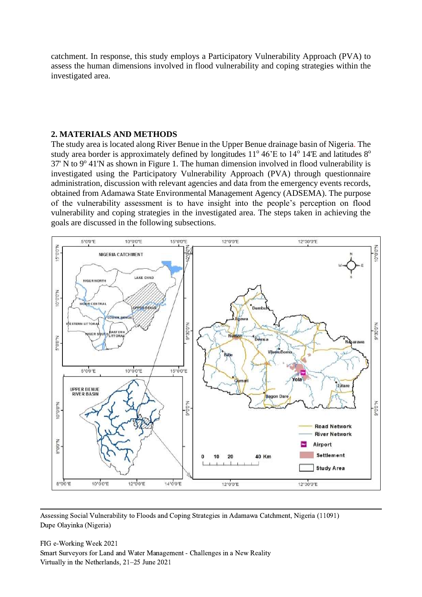catchment. In response, this study employs a Participatory Vulnerability Approach (PVA) to assess the human dimensions involved in flood vulnerability and coping strategies within the investigated area.

#### **2. MATERIALS AND METHODS**

The study area is located along River Benue in the Upper Benue drainage basin of Nigeria. The study area border is approximately defined by longitudes  $11^{\circ}$  46'E to  $14^{\circ}$  14'E and latitudes  $8^{\circ}$ 37' N to 9° 41'N as shown in Figure 1. The human dimension involved in flood vulnerability is investigated using the Participatory Vulnerability Approach (PVA) through questionnaire administration, discussion with relevant agencies and data from the emergency events records, obtained from Adamawa State Environmental Management Agency (ADSEMA). The purpose of the vulnerability assessment is to have insight into the people's perception on flood vulnerability and coping strategies in the investigated area. The steps taken in achieving the goals are discussed in the following subsections.



Assessing Social Vulnerability to Floods and Coping Strategies in Adamawa Catchment, Nigeria (11091) Dupe Olayinka (Nigeria)

FIG e-Working Week 2021 Smart Surveyors for Land and Water Management - Challenges in a New Reality Virtually in the Netherlands, 21–25 June 2021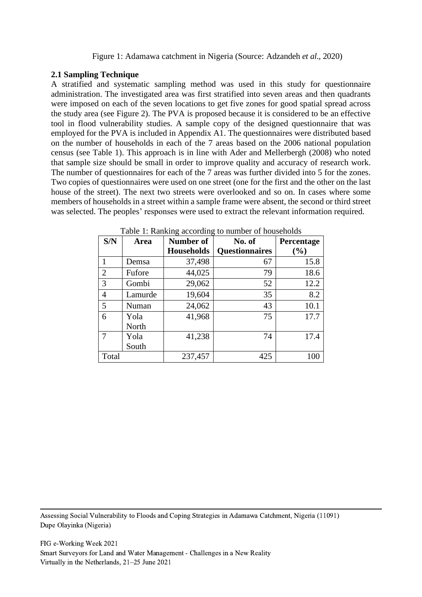### **2.1 Sampling Technique**

A stratified and systematic sampling method was used in this study for questionnaire administration. The investigated area was first stratified into seven areas and then quadrants were imposed on each of the seven locations to get five zones for good spatial spread across the study area (see Figure 2). The PVA is proposed because it is considered to be an effective tool in flood vulnerability studies. A sample copy of the designed questionnaire that was employed for the PVA is included in Appendix A1. The questionnaires were distributed based on the number of households in each of the 7 areas based on the 2006 national population census (see Table 1). This approach is in line with Ader and Mellerbergh (2008) who noted that sample size should be small in order to improve quality and accuracy of research work. The number of questionnaires for each of the 7 areas was further divided into 5 for the zones. Two copies of questionnaires were used on one street (one for the first and the other on the last house of the street). The next two streets were overlooked and so on. In cases where some members of households in a street within a sample frame were absent, the second or third street was selected. The peoples' responses were used to extract the relevant information required.

| S/N   | Area          | Number of         | No. of                | Percentage |
|-------|---------------|-------------------|-----------------------|------------|
|       |               | <b>Households</b> | <b>Questionnaires</b> | (%)        |
|       | Demsa         | 37,498            | 67                    | 15.8       |
| 2     | Fufore        | 44,025            | 79                    | 18.6       |
| 3     | Gombi         | 29,062            | 52                    | 12.2       |
| 4     | Lamurde       | 19,604            | 35                    | 8.2        |
| 5     | Numan         | 24,062            | 43                    | 10.1       |
| 6     | Yola<br>North | 41,968            | 75                    | 17.7       |
|       | Yola<br>South | 41,238            | 74                    | 17.4       |
| Total |               | 237,457           | 425                   | 100        |

Table 1: Ranking according to number of households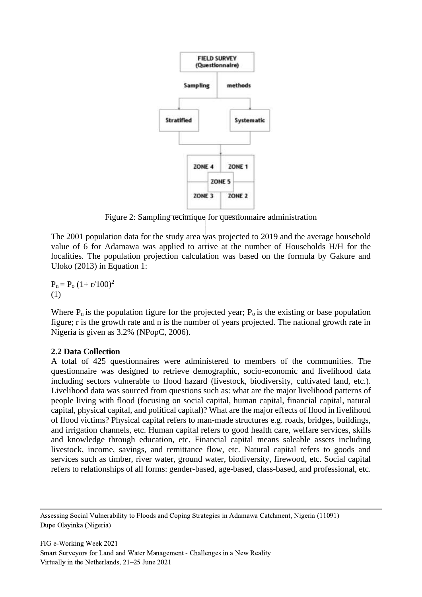

Figure 2: Sampling technique for questionnaire administration

The 2001 population data for the study area was projected to 2019 and the average household value of 6 for Adamawa was applied to arrive at the number of Households H/H for the localities. The population projection calculation was based on the formula by Gakure and Uloko (2013) in Equation 1:

 $P_n = P_0 (1 + r/100)^2$ (1)

Where  $P_n$  is the population figure for the projected year;  $P_0$  is the existing or base population figure; r is the growth rate and n is the number of years projected. The national growth rate in Nigeria is given as 3.2% (NPopC, 2006).

# **2.2 Data Collection**

A total of 425 questionnaires were administered to members of the communities. The questionnaire was designed to retrieve demographic, socio-economic and livelihood data including sectors vulnerable to flood hazard (livestock, biodiversity, cultivated land, etc.). Livelihood data was sourced from questions such as: what are the major livelihood patterns of people living with flood (focusing on social capital, human capital, financial capital, natural capital, physical capital, and political capital)? What are the major effects of flood in livelihood of flood victims? Physical capital refers to man-made structures e.g. roads, bridges, buildings, and irrigation channels, etc. Human capital refers to good health care, welfare services, skills and knowledge through education, etc. Financial capital means saleable assets including livestock, income, savings, and remittance flow, etc. Natural capital refers to goods and services such as timber, river water, ground water, biodiversity, firewood, etc. Social capital refers to relationships of all forms: gender-based, age-based, class-based, and professional, etc.

Assessing Social Vulnerability to Floods and Coping Strategies in Adamawa Catchment, Nigeria (11091) Dupe Olayinka (Nigeria)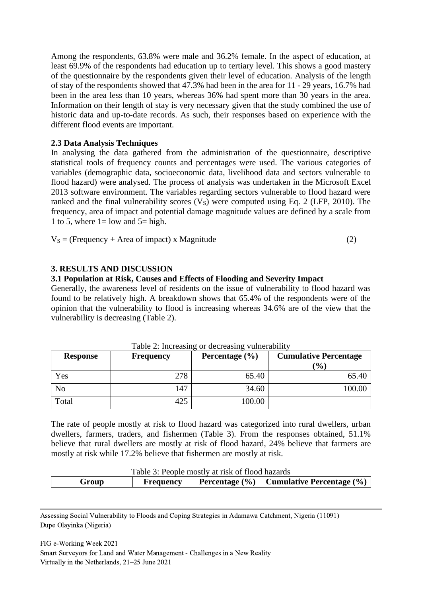Among the respondents, 63.8% were male and 36.2% female. In the aspect of education, at least 69.9% of the respondents had education up to tertiary level. This shows a good mastery of the questionnaire by the respondents given their level of education. Analysis of the length of stay of the respondents showed that 47.3% had been in the area for 11 - 29 years, 16.7% had been in the area less than 10 years, whereas 36% had spent more than 30 years in the area. Information on their length of stay is very necessary given that the study combined the use of historic data and up-to-date records. As such, their responses based on experience with the different flood events are important.

### **2.3 Data Analysis Techniques**

In analysing the data gathered from the administration of the questionnaire, descriptive statistical tools of frequency counts and percentages were used. The various categories of variables (demographic data, socioeconomic data, livelihood data and sectors vulnerable to flood hazard) were analysed. The process of analysis was undertaken in the Microsoft Excel 2013 software environment. The variables regarding sectors vulnerable to flood hazard were ranked and the final vulnerability scores  $(V<sub>S</sub>)$  were computed using Eq. 2 (LFP, 2010). The frequency, area of impact and potential damage magnitude values are defined by a scale from 1 to 5, where  $1 =$  low and  $5 =$  high.

 $V<sub>S</sub>$  = (Frequency + Area of impact) x Magnitude (2)

### **3. RESULTS AND DISCUSSION**

### **3.1 Population at Risk, Causes and Effects of Flooding and Severity Impact**

Generally, the awareness level of residents on the issue of vulnerability to flood hazard was found to be relatively high. A breakdown shows that 65.4% of the respondents were of the opinion that the vulnerability to flood is increasing whereas 34.6% are of the view that the vulnerability is decreasing (Table 2).

| <b>Response</b> | <b>Frequency</b> | Percentage $(\% )$ | <b>Cumulative Percentage</b><br>$\frac{1}{2}$ |
|-----------------|------------------|--------------------|-----------------------------------------------|
| Yes             | 278              | 65.40              | 65.40                                         |
| No              | 147              | 34.60              | 100.00                                        |
| Total           | 425              | 100.00             |                                               |

Table 2: Increasing or decreasing vulnerability

The rate of people mostly at risk to flood hazard was categorized into rural dwellers, urban dwellers, farmers, traders, and fishermen (Table 3). From the responses obtained, 51.1% believe that rural dwellers are mostly at risk of flood hazard, 24% believe that farmers are mostly at risk while 17.2% believe that fishermen are mostly at risk.

| Table 3: People mostly at risk of flood hazards |                  |  |                                                  |  |  |  |  |
|-------------------------------------------------|------------------|--|--------------------------------------------------|--|--|--|--|
| Group                                           | <b>Frequency</b> |  | Percentage $(\% )$ Cumulative Percentage $(\% )$ |  |  |  |  |

Assessing Social Vulnerability to Floods and Coping Strategies in Adamawa Catchment, Nigeria (11091) Dupe Olayinka (Nigeria)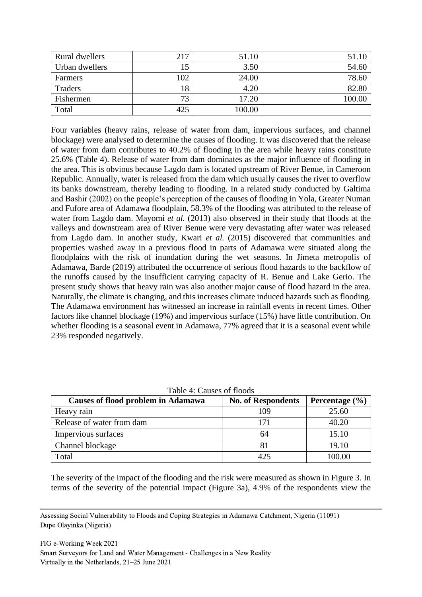| Rural dwellers | 217 | 51.10  | 51.10  |
|----------------|-----|--------|--------|
| Urban dwellers |     | 3.50   | 54.60  |
| Farmers        | 102 | 24.00  | 78.60  |
| Traders        | 18  | 4.20   | 82.80  |
| Fishermen      | 73  | 17.20  | 100.00 |
| Total          | 425 | 100.00 |        |

Four variables (heavy rains, release of water from dam, impervious surfaces, and channel blockage) were analysed to determine the causes of flooding. It was discovered that the release of water from dam contributes to 40.2% of flooding in the area while heavy rains constitute 25.6% (Table 4). Release of water from dam dominates as the major influence of flooding in the area. This is obvious because Lagdo dam is located upstream of River Benue, in Cameroon Republic. Annually, water is released from the dam which usually causes the river to overflow its banks downstream, thereby leading to flooding. In a related study conducted by Galtima and Bashir (2002) on the people's perception of the causes of flooding in Yola, Greater Numan and Fufore area of Adamawa floodplain, 58.3% of the flooding was attributed to the release of water from Lagdo dam. Mayomi *et al.* (2013) also observed in their study that floods at the valleys and downstream area of River Benue were very devastating after water was released from Lagdo dam. In another study, Kwari *et al.* (2015) discovered that communities and properties washed away in a previous flood in parts of Adamawa were situated along the floodplains with the risk of inundation during the wet seasons. In Jimeta metropolis of Adamawa, Barde (2019) attributed the occurrence of serious flood hazards to the backflow of the runoffs caused by the insufficient carrying capacity of R. Benue and Lake Gerio. The present study shows that heavy rain was also another major cause of flood hazard in the area. Naturally, the climate is changing, and this increases climate induced hazards such as flooding. The Adamawa environment has witnessed an increase in rainfall events in recent times. Other factors like channel blockage (19%) and impervious surface (15%) have little contribution. On whether flooding is a seasonal event in Adamawa, 77% agreed that it is a seasonal event while 23% responded negatively.

| 10010 11 Canoo 01 110000                  |                           |                    |  |  |  |  |  |  |
|-------------------------------------------|---------------------------|--------------------|--|--|--|--|--|--|
| <b>Causes of flood problem in Adamawa</b> | <b>No. of Respondents</b> | Percentage $(\% )$ |  |  |  |  |  |  |
| Heavy rain                                | 109                       | 25.60              |  |  |  |  |  |  |
| Release of water from dam                 | 171                       | 40.20              |  |  |  |  |  |  |
| Impervious surfaces                       | 64                        | 15.10              |  |  |  |  |  |  |
| <b>Channel blockage</b>                   |                           | 19.10              |  |  |  |  |  |  |
| Total                                     | 425                       | 100.00             |  |  |  |  |  |  |

Table 4: Causes of floods

The severity of the impact of the flooding and the risk were measured as shown in Figure 3. In terms of the severity of the potential impact (Figure 3a), 4.9% of the respondents view the

Assessing Social Vulnerability to Floods and Coping Strategies in Adamawa Catchment, Nigeria (11091) Dupe Olayinka (Nigeria)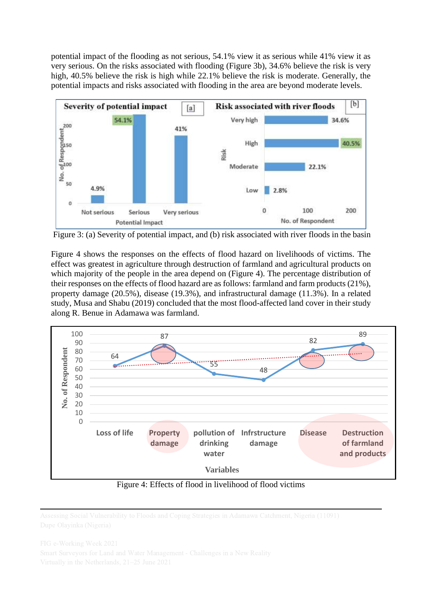potential impact of the flooding as not serious, 54.1% view it as serious while 41% view it as very serious. On the risks associated with flooding (Figure 3b), 34.6% believe the risk is very high, 40.5% believe the risk is high while 22.1% believe the risk is moderate. Generally, the potential impacts and risks associated with flooding in the area are beyond moderate levels.



Figure 3: (a) Severity of potential impact, and (b) risk associated with river floods in the basin

Figure 4 shows the responses on the effects of flood hazard on livelihoods of victims. The effect was greatest in agriculture through destruction of farmland and agricultural products on which majority of the people in the area depend on (Figure 4). The percentage distribution of their responses on the effects of flood hazard are as follows: farmland and farm products (21%), property damage (20.5%), disease (19.3%), and infrastructural damage (11.3%). In a related study, Musa and Shabu (2019) concluded that the most flood-affected land cover in their study along R. Benue in Adamawa was farmland.



Figure 4: Effects of flood in livelihood of flood victims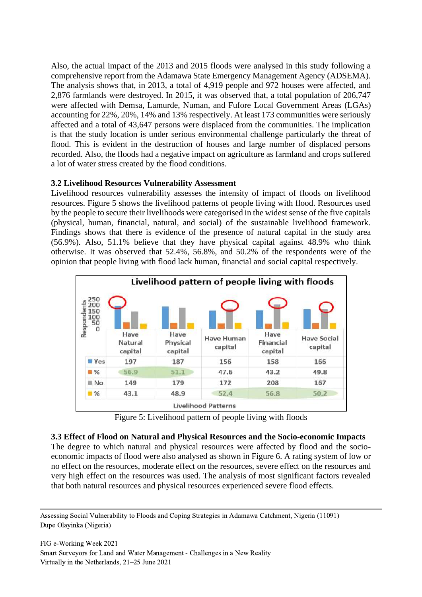Also, the actual impact of the 2013 and 2015 floods were analysed in this study following a comprehensive report from the Adamawa State Emergency Management Agency (ADSEMA). The analysis shows that, in 2013, a total of 4,919 people and 972 houses were affected, and 2,876 farmlands were destroyed. In 2015, it was observed that, a total population of 206,747 were affected with Demsa, Lamurde, Numan, and Fufore Local Government Areas (LGAs) accounting for 22%, 20%, 14% and 13% respectively. At least 173 communities were seriously affected and a total of 43,647 persons were displaced from the communities. The implication is that the study location is under serious environmental challenge particularly the threat of flood. This is evident in the destruction of houses and large number of displaced persons recorded. Also, the floods had a negative impact on agriculture as farmland and crops suffered a lot of water stress created by the flood conditions.

# **3.2 Livelihood Resources Vulnerability Assessment**

Livelihood resources vulnerability assesses the intensity of impact of floods on livelihood resources. Figure 5 shows the livelihood patterns of people living with flood. Resources used by the people to secure their livelihoods were categorised in the widest sense of the five capitals (physical, human, financial, natural, and social) of the sustainable livelihood framework. Findings shows that there is evidence of the presence of natural capital in the study area (56.9%). Also, 51.1% believe that they have physical capital against 48.9% who think otherwise. It was observed that 52.4%, 56.8%, and 50.2% of the respondents were of the opinion that people living with flood lack human, financial and social capital respectively.



Figure 5: Livelihood pattern of people living with floods

**3.3 Effect of Flood on Natural and Physical Resources and the Socio-economic Impacts** The degree to which natural and physical resources were affected by flood and the socioeconomic impacts of flood were also analysed as shown in Figure 6. A rating system of low or no effect on the resources, moderate effect on the resources, severe effect on the resources and very high effect on the resources was used. The analysis of most significant factors revealed that both natural resources and physical resources experienced severe flood effects.

Assessing Social Vulnerability to Floods and Coping Strategies in Adamawa Catchment, Nigeria (11091) Dupe Olayinka (Nigeria)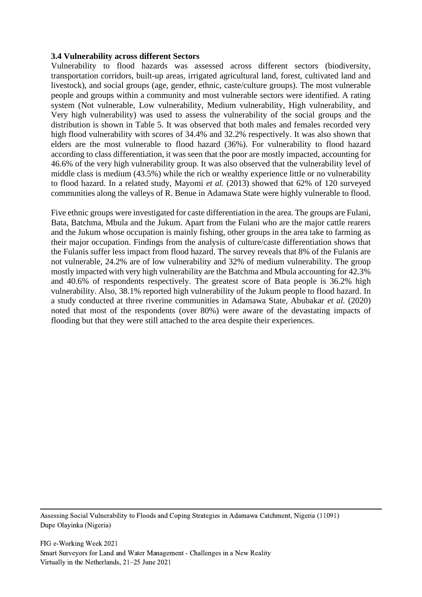#### **3.4 Vulnerability across different Sectors**

Vulnerability to flood hazards was assessed across different sectors (biodiversity, transportation corridors, built-up areas, irrigated agricultural land, forest, cultivated land and livestock), and social groups (age, gender, ethnic, caste/culture groups). The most vulnerable people and groups within a community and most vulnerable sectors were identified. A rating system (Not vulnerable, Low vulnerability, Medium vulnerability, High vulnerability, and Very high vulnerability) was used to assess the vulnerability of the social groups and the distribution is shown in Table 5. It was observed that both males and females recorded very high flood vulnerability with scores of 34.4% and 32.2% respectively. It was also shown that elders are the most vulnerable to flood hazard (36%). For vulnerability to flood hazard according to class differentiation, it was seen that the poor are mostly impacted, accounting for 46.6% of the very high vulnerability group. It was also observed that the vulnerability level of middle class is medium (43.5%) while the rich or wealthy experience little or no vulnerability to flood hazard. In a related study, Mayomi *et al.* (2013) showed that 62% of 120 surveyed communities along the valleys of R. Benue in Adamawa State were highly vulnerable to flood.

Five ethnic groups were investigated for caste differentiation in the area. The groups are Fulani, Bata, Batchma, Mbula and the Jukum. Apart from the Fulani who are the major cattle rearers and the Jukum whose occupation is mainly fishing, other groups in the area take to farming as their major occupation. Findings from the analysis of culture/caste differentiation shows that the Fulanis suffer less impact from flood hazard. The survey reveals that 8% of the Fulanis are not vulnerable, 24.2% are of low vulnerability and 32% of medium vulnerability. The group mostly impacted with very high vulnerability are the Batchma and Mbula accounting for 42.3% and 40.6% of respondents respectively. The greatest score of Bata people is 36.2% high vulnerability. Also, 38.1% reported high vulnerability of the Jukum people to flood hazard. In a study conducted at three riverine communities in Adamawa State, Abubakar *et al.* (2020) noted that most of the respondents (over 80%) were aware of the devastating impacts of flooding but that they were still attached to the area despite their experiences.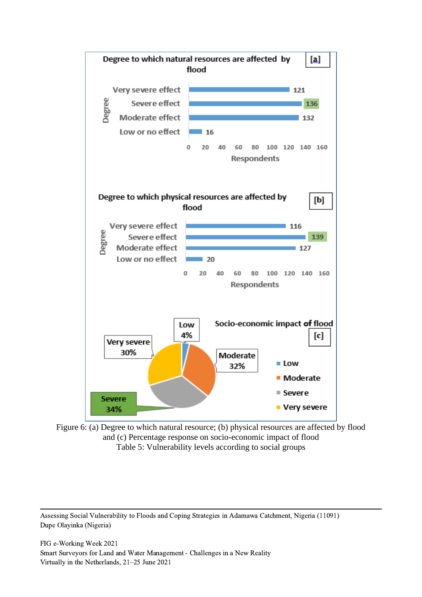

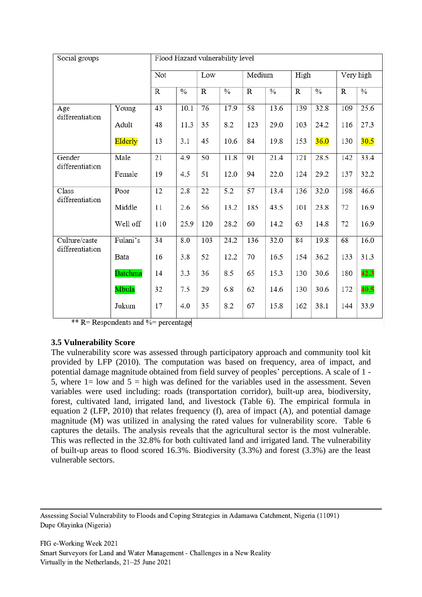| Social groups                    |          | Flood Hazard vulnerability level |               |     |               |                 |               |             |               |                |               |
|----------------------------------|----------|----------------------------------|---------------|-----|---------------|-----------------|---------------|-------------|---------------|----------------|---------------|
|                                  |          | Not                              |               | Low |               | Medium          |               | High        |               | Very high      |               |
|                                  |          | $\mathbb{R}$                     | $\frac{0}{0}$ | R   | $\frac{0}{0}$ | $\mathbb{R}$    | $\frac{0}{0}$ | $\mathbf R$ | $\frac{0}{0}$ | $\overline{R}$ | $\frac{0}{6}$ |
| Age<br>differentiation           | Young    | 43                               | 10.1          | 76  | 17.9          | 58              | 13.6          | 139         | 32.8          | 109            | 25.6          |
|                                  | Adult    | 48                               | 11.3          | 35  | 8.2           | 123             | 29.0          | 103         | 24.2          | 116            | 27.3          |
|                                  | Elderly  | 13                               | 3.1           | 45  | 10.6          | 84              | 19.8          | 153         | 36.0          | 130            | 30.5          |
| Gender<br>differentiation        | Male     | 21                               | 4.9           | 50  | 11.8          | 91              | 21.4          | 121         | 28.5          | 142            | 33.4          |
|                                  | Female   | 19                               | 4.5           | 51  | 12.0          | 94              | 22.0          | 124         | 29.2          | 137            | 32.2          |
| Class<br>differentiation         | Poor     | 12                               | 2.8           | 22  | 5.2           | $\overline{57}$ | 13.4          | 136         | 32.0          | 198            | 46.6          |
|                                  | Middle   | 11                               | 2.6           | 56  | 13.2          | 185             | 43.5          | 101         | 23.8          | 72             | 16.9          |
|                                  | Well off | 110                              | 25.9          | 120 | 28.2          | 60              | 14.2          | 63          | 14.8          | 72             | 16.9          |
| Culture/caste<br>differentiation | Fulani's | 34                               | 8.0           | 103 | 24.2          | 136             | 32.0          | 84          | 19.8          | 68             | 16.0          |
|                                  | Bata     | 16                               | 3.8           | 52  | 12.2          | 70              | 16.5          | 154         | 36.2          | 133            | 31.3          |
|                                  | Batchma  | 14                               | 3.3           | 36  | 8.5           | 65              | 15.3          | 130         | 30.6          | 180            | 42.3          |
|                                  | Mbula    | 32                               | 7.5           | 29  | 6.8           | 62              | 14.6          | 130         | 30.6          | 172            | 40.5          |
|                                  | Jukum    | 17                               | 4.0           | 35  | 8.2           | 67              | 15.8          | 162         | 38.1          | 144            | 33.9          |

\*\* R= Respondents and %= percentage

# **3.5 Vulnerability Score**

The vulnerability score was assessed through participatory approach and community tool kit provided by LFP (2010). The computation was based on frequency, area of impact, and potential damage magnitude obtained from field survey of peoples' perceptions. A scale of 1 - 5, where  $1 =$  low and  $5 =$  high was defined for the variables used in the assessment. Seven variables were used including: roads (transportation corridor), built-up area, biodiversity, forest, cultivated land, irrigated land, and livestock (Table 6). The empirical formula in equation 2 (LFP, 2010) that relates frequency (f), area of impact (A), and potential damage magnitude (M) was utilized in analysing the rated values for vulnerability score. Table 6 captures the details. The analysis reveals that the agricultural sector is the most vulnerable. This was reflected in the 32.8% for both cultivated land and irrigated land. The vulnerability of built-up areas to flood scored 16.3%. Biodiversity (3.3%) and forest (3.3%) are the least vulnerable sectors.

Assessing Social Vulnerability to Floods and Coping Strategies in Adamawa Catchment, Nigeria (11091) Dupe Olayinka (Nigeria)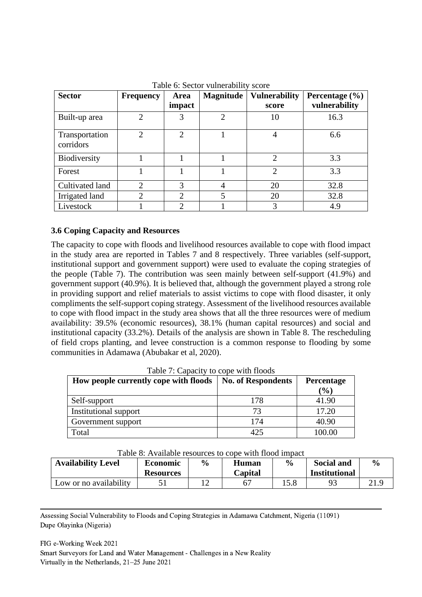| <b>Sector</b>               | <b>Frequency</b>            | Area                        | <b>Magnitude</b> | <b>Vulnerability</b>        | Percentage $(\% )$ |
|-----------------------------|-----------------------------|-----------------------------|------------------|-----------------------------|--------------------|
|                             |                             | impact                      |                  | score                       | vulnerability      |
| Built-up area               | $\overline{2}$              | 3                           | $\overline{2}$   | 10                          | 16.3               |
| Transportation<br>corridors | $\mathcal{D}_{\mathcal{L}}$ | $\mathcal{D}_{\mathcal{L}}$ |                  | 4                           | 6.6                |
| Biodiversity                |                             |                             |                  | $\mathcal{D}_{\mathcal{L}}$ | 3.3                |
| Forest                      |                             |                             |                  | $\overline{2}$              | 3.3                |
| Cultivated land             | $\mathcal{D}$               | 3                           | 4                | 20                          | 32.8               |
| Irrigated land              | $\overline{2}$              | $\overline{2}$              | 5                | 20                          | 32.8               |
| Livestock                   |                             | $\overline{2}$              |                  | 3                           | 4.9                |

Table 6: Sector vulnerability score

### **3.6 Coping Capacity and Resources**

The capacity to cope with floods and livelihood resources available to cope with flood impact in the study area are reported in Tables 7 and 8 respectively. Three variables (self-support, institutional support and government support) were used to evaluate the coping strategies of the people (Table 7). The contribution was seen mainly between self-support (41.9%) and government support (40.9%). It is believed that, although the government played a strong role in providing support and relief materials to assist victims to cope with flood disaster, it only compliments the self-support coping strategy. Assessment of the livelihood resources available to cope with flood impact in the study area shows that all the three resources were of medium availability: 39.5% (economic resources), 38.1% (human capital resources) and social and institutional capacity (33.2%). Details of the analysis are shown in Table 8. The rescheduling of field crops planting, and levee construction is a common response to flooding by some communities in Adamawa (Abubakar et al, 2020).

| Table 7: Capacity to cope with floods |                           |            |  |  |  |  |  |
|---------------------------------------|---------------------------|------------|--|--|--|--|--|
| How people currently cope with floods | <b>No. of Respondents</b> | Percentage |  |  |  |  |  |
|                                       |                           | (%)        |  |  |  |  |  |
| Self-support                          | 178                       | 41.90      |  |  |  |  |  |
| Institutional support                 | 73                        | 17.20      |  |  |  |  |  |
| Government support                    | 174                       | 40.90      |  |  |  |  |  |
| Total                                 | 425                       | 100.00     |  |  |  |  |  |

Table 7: Capacity to cope with floods

| Table 8: Available resources to cope with flood impact |  |
|--------------------------------------------------------|--|
|--------------------------------------------------------|--|

| <b>Availability Level</b> | <b>Economic</b><br><b>Resources</b> | $\frac{6}{9}$ | Human<br>Capital | $\frac{6}{9}$ | Social and<br><b>Institutional</b> | $\frac{0}{0}$ |
|---------------------------|-------------------------------------|---------------|------------------|---------------|------------------------------------|---------------|
| Low or no availability    |                                     |               |                  | 15.8          |                                    |               |

Assessing Social Vulnerability to Floods and Coping Strategies in Adamawa Catchment, Nigeria (11091) Dupe Olayinka (Nigeria)

FIG e-Working Week 2021 Smart Surveyors for Land and Water Management - Challenges in a New Reality Virtually in the Netherlands, 21–25 June 2021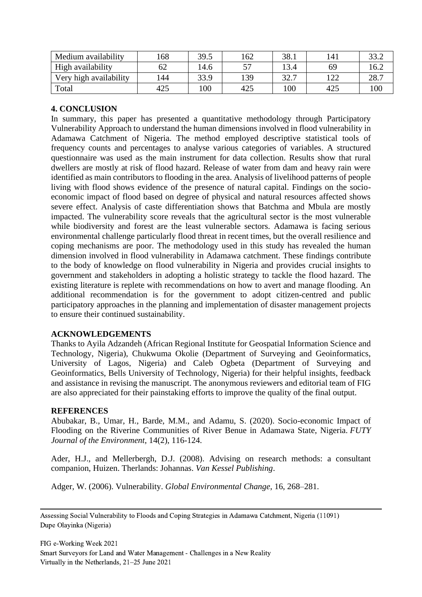| Medium availability    | 168 | 39.5 | 162 | 38.1 |            | 22 <sup>2</sup> |
|------------------------|-----|------|-----|------|------------|-----------------|
| High availability      | 62  | 14.6 |     | 13.4 | 69         | 16.2            |
| Very high availability | 144 | 33.9 | 139 | 32.7 | 1 ລລ<br>44 | 28.             |
| Total                  | 425 | 100  | 425 | 00   | 425        | 100             |

# **4. CONCLUSION**

In summary, this paper has presented a quantitative methodology through Participatory Vulnerability Approach to understand the human dimensions involved in flood vulnerability in Adamawa Catchment of Nigeria. The method employed descriptive statistical tools of frequency counts and percentages to analyse various categories of variables. A structured questionnaire was used as the main instrument for data collection. Results show that rural dwellers are mostly at risk of flood hazard. Release of water from dam and heavy rain were identified as main contributors to flooding in the area. Analysis of livelihood patterns of people living with flood shows evidence of the presence of natural capital. Findings on the socioeconomic impact of flood based on degree of physical and natural resources affected shows severe effect. Analysis of caste differentiation shows that Batchma and Mbula are mostly impacted. The vulnerability score reveals that the agricultural sector is the most vulnerable while biodiversity and forest are the least vulnerable sectors. Adamawa is facing serious environmental challenge particularly flood threat in recent times, but the overall resilience and coping mechanisms are poor. The methodology used in this study has revealed the human dimension involved in flood vulnerability in Adamawa catchment. These findings contribute to the body of knowledge on flood vulnerability in Nigeria and provides crucial insights to government and stakeholders in adopting a holistic strategy to tackle the flood hazard. The existing literature is replete with recommendations on how to avert and manage flooding. An additional recommendation is for the government to adopt citizen-centred and public participatory approaches in the planning and implementation of disaster management projects to ensure their continued sustainability.

# **ACKNOWLEDGEMENTS**

Thanks to Ayila Adzandeh (African Regional Institute for Geospatial Information Science and Technology, Nigeria), Chukwuma Okolie (Department of Surveying and Geoinformatics, University of Lagos, Nigeria) and Caleb Ogbeta (Department of Surveying and Geoinformatics, Bells University of Technology, Nigeria) for their helpful insights, feedback and assistance in revising the manuscript. The anonymous reviewers and editorial team of FIG are also appreciated for their painstaking efforts to improve the quality of the final output.

#### **REFERENCES**

Abubakar, B., Umar, H., Barde, M.M., and Adamu, S. (2020). Socio-economic Impact of Flooding on the Riverine Communities of River Benue in Adamawa State, Nigeria. *FUTY Journal of the Environment*, 14(2), 116-124.

Ader, H.J., and Mellerbergh, D.J. (2008). Advising on research methods: a consultant companion, Huizen. Therlands: Johannas. *Van Kessel Publishing*.

Adger, W. (2006). Vulnerability. *Global Environmental Change*, 16, 268–281.

Assessing Social Vulnerability to Floods and Coping Strategies in Adamawa Catchment, Nigeria (11091) Dupe Olayinka (Nigeria)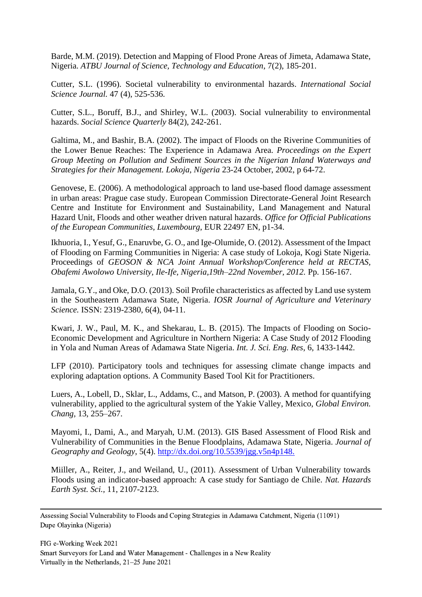Barde, M.M. (2019). Detection and Mapping of Flood Prone Areas of Jimeta, Adamawa State, Nigeria. *ATBU Journal of Science, Technology and Education*, 7(2), 185-201.

Cutter, S.L. (1996). Societal vulnerability to environmental hazards. *International Social Science Journal.* 47 (4), 525-536.

Cutter, S.L., Boruff, B.J., and Shirley, W.L. (2003). Social vulnerability to environmental hazards. *Social Science Quarterly* 84(2), 242-261.

Galtima, M., and Bashir, B.A. (2002). The impact of Floods on the Riverine Communities of the Lower Benue Reaches: The Experience in Adamawa Area. *Proceedings on the Expert Group Meeting on Pollution and Sediment Sources in the Nigerian Inland Waterways and Strategies for their Management. Lokoja, Nigeria* 23-24 October, 2002, p 64-72.

Genovese, E. (2006). A methodological approach to land use-based flood damage assessment in urban areas: Prague case study. European Commission Directorate-General Joint Research Centre and Institute for Environment and Sustainability, Land Management and Natural Hazard Unit, Floods and other weather driven natural hazards. *Office for Official Publications of the European Communities, Luxembourg*, EUR 22497 EN, p1-34.

Ikhuoria, I., Yesuf, G., Enaruvbe, G. O., and Ige-Olumide, O. (2012). Assessment of the Impact of Flooding on Farming Communities in Nigeria: A case study of Lokoja, Kogi State Nigeria. Proceedings of *GEOSON & NCA Joint Annual Workshop/Conference held at RECTAS, Obafemi Awolowo University, Ile-Ife, Nigeria,19th–22nd November, 2012.* Pp. 156-167.

Jamala, G.Y., and Oke, D.O. (2013). Soil Profile characteristics as affected by Land use system in the Southeastern Adamawa State, Nigeria. *IOSR Journal of Agriculture and Veterinary Science.* ISSN: 2319-2380, 6(4), 04-11.

Kwari, J. W., Paul, M. K., and Shekarau, L. B. (2015). The Impacts of Flooding on Socio-Economic Development and Agriculture in Northern Nigeria: A Case Study of 2012 Flooding in Yola and Numan Areas of Adamawa State Nigeria. *Int. J. Sci. Eng. Res*, 6, 1433-1442.

LFP (2010). Participatory tools and techniques for assessing climate change impacts and exploring adaptation options. A Community Based Tool Kit for Practitioners.

Luers, A., Lobell, D., Sklar, L., Addams, C., and Matson, P. (2003). A method for quantifying vulnerability, applied to the agricultural system of the Yakie Valley, Mexico, *Global Environ. Chang,* 13, 255–267.

Mayomi, I., Dami, A., and Maryah, U.M. (2013). GIS Based Assessment of Flood Risk and Vulnerability of Communities in the Benue Floodplains, Adamawa State, Nigeria. *Journal of Geography and Geology*, 5(4).<http://dx.doi.org/10.5539/jgg.v5n4p148.>

Miiller, A., Reiter, J., and Weiland, U., (2011). Assessment of Urban Vulnerability towards Floods using an indicator-based approach: A case study for Santiago de Chile. *Nat. Hazards Earth Syst. Sci.,* 11, 2107-2123.

Assessing Social Vulnerability to Floods and Coping Strategies in Adamawa Catchment, Nigeria (11091) Dupe Olayinka (Nigeria)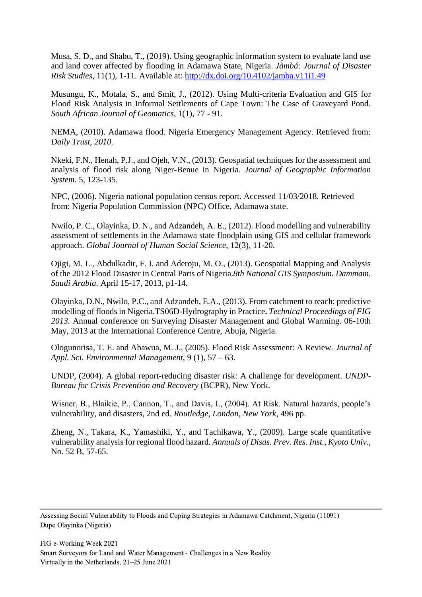Musa, S. D., and Shabu, T., (2019). Using geographic information system to evaluate land use and land cover affected by flooding in Adamawa State, Nigeria. *Jàmbá: Journal of Disaster Risk Studies*, 11(1), 1-11. Available at:<http://dx.doi.org/10.4102/jamba.v11i1.49>

Musungu, K., Motala, S., and Smit, J., (2012). Using Multi-criteria Evaluation and GIS for Flood Risk Analysis in Informal Settlements of Cape Town: The Case of Graveyard Pond. *South African Journal of Geomatics,* 1(1), 77 - 91.

NEMA, (2010). Adamawa flood. Nigeria Emergency Management Agency. Retrieved from: *Daily Trust, 2010.*

Nkeki, F.N., Henah, P.J., and Ojeh, V.N., (2013). Geospatial techniques for the assessment and analysis of flood risk along Niger-Benue in Nigeria. *Journal of Geographic Information System.* 5, 123-135.

NPC, (2006). Nigeria national population census report. Accessed 11/03/2018. Retrieved from: Nigeria Population Commission (NPC) Office, Adamawa state.

Nwilo, P. C., Olayinka, D. N., and Adzandeh, A. E., (2012). Flood modelling and vulnerability assessment of settlements in the Adamawa state floodplain using GIS and cellular framework approach. *Global Journal of Human Social Science*, 12(3), 11-20.

Ojigi, M. L., Abdulkadir, F. I. and Aderoju, M. O., (2013). Geospatial Mapping and Analysis of the 2012 Flood Disaster in Central Parts of Nigeria.*8th National GIS Symposium. Dammam. Saudi Arabia.* April 15-17, 2013*,* p1-14*.*

Olayinka, D.N., Nwilo, P.C., and Adzandeh, E.A., (2013). From catchment to reach: predictive modelling of floods in Nigeria.TS06D-Hydrography in Practice**.** *Technical Proceedings of FIG 2013.* Annual conference on Surveying Disaster Management and Global Warming. 06-10th May, 2013 at the International Conference Centre, Abuja, Nigeria.

Ologunorisa, T. E. and Abawua, M. J., (2005). Flood Risk Assessment: A Review. *Journal of Appl. Sci. Environmental Management*, 9 (1), 57 – 63.

UNDP, (2004). A global report-reducing disaster risk: A challenge for development. *UNDP-Bureau for Crisis Prevention and Recovery* (BCPR), New York.

Wisner, B., Blaikie, P., Cannon, T., and Davis, I., (2004). At Risk. Natural hazards, people's vulnerability, and disasters, 2nd ed. *Routledge, London, New York*, 496 pp.

Zheng, N., Takara, K., Yamashiki, Y., and Tachikawa, Y., (2009). Large scale quantitative vulnerability analysis for regional flood hazard. *Annuals of Disas. Prev. Res. Inst., Kyoto Univ.,* No. 52 B, 57-65.

Assessing Social Vulnerability to Floods and Coping Strategies in Adamawa Catchment, Nigeria (11091) Dupe Olayinka (Nigeria)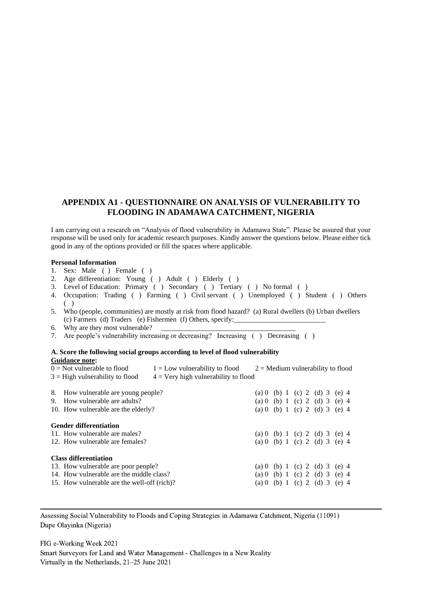### **APPENDIX A1 - QUESTIONNAIRE ON ANALYSIS OF VULNERABILITY TO FLOODING IN ADAMAWA CATCHMENT, NIGERIA**

I am carrying out a research on "Analysis of flood vulnerability in Adamawa State". Please be assured that your response will be used only for academic research purposes. Kindly answer the questions below. Please either tick good in any of the options provided or fill the spaces where applicable.

#### **Personal Information**

- 1. Sex: Male ( ) Female ( )
- 2. Age differentiation: Young ( ) Adult ( ) Elderly ( )
- 3. Level of Education: Primary ( ) Secondary ( ) Tertiary ( ) No formal ( )
- 4. Occupation: Trading ( ) Farming ( ) Civil servant ( ) Unemployed ( ) Student ( ) Others ( )
- 5. Who (people, communities) are mostly at risk from flood hazard? (a) Rural dwellers (b) Urban dwellers (c) Farmers (d) Traders (e) Fishermen (f) Others, specify:
- 6. Why are they most vulnerable?
- 7. Are people's vulnerability increasing or decreasing? Increasing ( ) Decreasing ( )

#### **A. Score the following social groups according to level of flood vulnerability Guidance note:**   $\overline{0}$  = Not vulnerable to flood  $1 =$  Low vulnerability to flood  $2 =$  Medium vulnerability to flood

| $3 =$ High vulnerability to flood<br>$4 =$ Very high vulnerability to flood                                                                                    |  |                                                                                                 |  |  |
|----------------------------------------------------------------------------------------------------------------------------------------------------------------|--|-------------------------------------------------------------------------------------------------|--|--|
| 8. How vulnerable are young people?<br>How vulnerable are adults?<br>9.<br>10. How vulnerable are the elderly?                                                 |  | (a) 0 (b) 1 (c) 2 (d) 3 (e) 4<br>(a) 0 (b) 1 (c) 2 (d) 3 (e) 4<br>(a) 0 (b) 1 (c) 2 (d) 3 (e) 4 |  |  |
| <b>Gender differentiation</b><br>11. How vulnerable are males?<br>12. How vulnerable are females?                                                              |  | (a) 0 (b) 1 (c) 2 (d) 3 (e) 4<br>(a) 0 (b) 1 (c) 2 (d) 3 (e) 4                                  |  |  |
| <b>Class differentiation</b><br>13. How vulnerable are poor people?<br>14. How vulnerable are the middle class?<br>15. How vulnerable are the well-off (rich)? |  | (a) 0 (b) 1 (c) 2 (d) 3 (e) 4<br>(a) 0 (b) 1 (c) 2 (d) 3 (e) 4<br>(a) 0 (b) 1 (c) 2 (d) 3 (e) 4 |  |  |

Assessing Social Vulnerability to Floods and Coping Strategies in Adamawa Catchment, Nigeria (11091) Dupe Olayinka (Nigeria)

FIG e-Working Week 2021 Smart Surveyors for Land and Water Management - Challenges in a New Reality Virtually in the Netherlands, 21–25 June 2021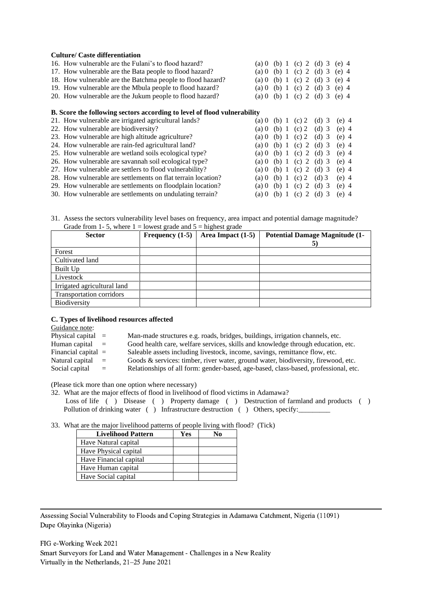#### **Culture/ Caste differentiation**

| 16. How vulnerable are the Fulani's to flood hazard?                            | (a) () | (b) 1   | $(c)$ 2           | $(d)$ 3     | $(e)$ 4 |
|---------------------------------------------------------------------------------|--------|---------|-------------------|-------------|---------|
| 17. How vulnerable are the Bata people to flood hazard?                         | (a) () | (b) 1   | $(c)$ 2           | $(d)$ 3     | $(e)$ 4 |
| 18. How vulnerable are the Batchma people to flood hazard?                      | (a) () | (b) 1   | $(c)$ 2           | $(d)$ 3     | $(e)$ 4 |
| 19. How vulnerable are the Mbula people to flood hazard?                        | (a) 0  | (b) 1   | $(c)$ 2           | $(d)$ 3     | $(e)$ 4 |
| 20. How vulnerable are the Jukum people to flood hazard?                        | (a) 0  | (b) 1   |                   | (c) 2 (d) 3 | $(e)$ 4 |
|                                                                                 |        |         |                   |             |         |
| <b>B.</b> Score the following sectors according to level of flood vulnerability |        |         |                   |             |         |
| 21. How vulnerable are irrigated agricultural lands?                            | (a) () |         | (b) 1 (c) 2 (d) 3 |             | $(e)$ 4 |
| 22. How vulnerable are biodiversity?                                            | (a) () | (b) 1   | $(c)$ 2           | $(d)$ 3     | $(e)$ 4 |
| 23. How vulnerable are high altitude agriculture?                               | (a) 0  | $(b)$ 1 | $(c)$ 2           | $(d)$ 3     | $(e)$ 4 |
| 24. How vulnerable are rain-fed agricultural land?                              | (a) () | (b) 1   | $(c)$ 2           | $(d)$ 3     | $(e)$ 4 |
| 25. How vulnerable are wetland soils ecological type?                           | (a) 0  | (b) 1   | $(c)$ 2           | $(d)$ 3     | $(e)$ 4 |
| 26. How vulnerable are savannah soil ecological type?                           | (a) () | (b) 1   | $(c)$ 2           | $(d)$ 3     | $(e)$ 4 |
| 27. How vulnerable are settlers to flood vulnerability?                         | (a) () | (b) 1   | $(c)$ 2           | $(d)$ 3     | $(e)$ 4 |
| 28. How vulnerable are settlements on flat terrain location?                    | (a) 0  | (b) 1   | $(c)$ 2           | $(d)$ 3     | $(e)$ 4 |
| 29. How vulnerable are settlements on floodplain location?                      | (a) 0  | (b) $1$ | $(c)$ 2           | $(d)$ 3     | $(e)$ 4 |
| 30. How vulnerable are settlements on undulating terrain?                       | (a) () | $(b)$ 1 | (c) 2 (d) 3       |             | $(e)$ 4 |

31. Assess the sectors vulnerability level bases on frequency, area impact and potential damage magnitude? Grade from 1-5, where  $1 =$  lowest grade and  $5 =$  highest grade

| <b>Sector</b>                   | Frequency $(1-5)$ | Area Impact $(1-5)$ | <b>Potential Damage Magnitude (1-</b> |
|---------------------------------|-------------------|---------------------|---------------------------------------|
| Forest                          |                   |                     |                                       |
| Cultivated land                 |                   |                     |                                       |
| Built Up                        |                   |                     |                                       |
| Livestock                       |                   |                     |                                       |
| Irrigated agricultural land     |                   |                     |                                       |
| <b>Transportation corridors</b> |                   |                     |                                       |
| Biodiversity                    |                   |                     |                                       |

#### **C. Types of livelihood resources affected**

Guidance note:

| Physical capital $=$<br>Man-made structures e.g. roads, bridges, buildings, irrigation channels, etc. |  |  |  |
|-------------------------------------------------------------------------------------------------------|--|--|--|
|-------------------------------------------------------------------------------------------------------|--|--|--|

Human capital = Good health care, welfare services, skills and knowledge through education, etc.

- Financial capital = Saleable assets including livestock, income, savings, remittance flow, etc.
- Natural capital = Goods & services: timber, river water, ground water, biodiversity, firewood, etc.
- Social capital = Relationships of all form: gender-based, age-based, class-based, professional, etc.

(Please tick more than one option where necessary)

| 32. What are the major effects of flood in livelihood of flood victims in Adamawa?    |  |  |  |  |  |
|---------------------------------------------------------------------------------------|--|--|--|--|--|
| Loss of life () Disease () Property damage () Destruction of farmland and products () |  |  |  |  |  |
| Pollution of drinking water () Infrastructure destruction () Others, specify:         |  |  |  |  |  |

#### 33. What are the major livelihood patterns of people living with flood? (Tick)

| <b>Livelihood Pattern</b> | Yes |  |
|---------------------------|-----|--|
| Have Natural capital      |     |  |
| Have Physical capital     |     |  |
| Have Financial capital    |     |  |
| Have Human capital        |     |  |
| Have Social capital       |     |  |

Assessing Social Vulnerability to Floods and Coping Strategies in Adamawa Catchment, Nigeria (11091) Dupe Olayinka (Nigeria)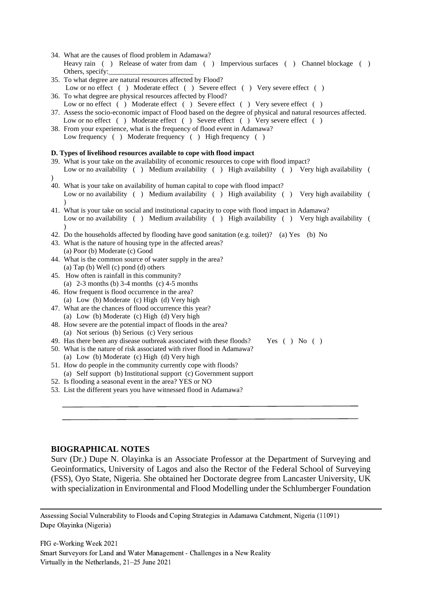- 34. What are the causes of flood problem in Adamawa? Heavy rain ( ) Release of water from dam ( ) Impervious surfaces ( ) Channel blockage ( ) Others, specify:
- 35. To what degree are natural resources affected by Flood? Low or no effect ( ) Moderate effect ( ) Severe effect ( ) Very severe effect ( )
- 36. To what degree are physical resources affected by Flood? Low or no effect ( ) Moderate effect ( ) Severe effect ( ) Very severe effect ( )
- 37. Assess the socio-economic impact of Flood based on the degree of physical and natural resources affected. Low or no effect ( ) Moderate effect ( ) Severe effect ( ) Very severe effect ( )
- 38. From your experience, what is the frequency of flood event in Adamawa? Low frequency ( ) Moderate frequency ( ) High frequency ( )

#### **D. Types of livelihood resources available to cope with flood impact**

- 39. What is your take on the availability of economic resources to cope with flood impact? Low or no availability ( ) Medium availability ( ) High availability ( ) Very high availability ( )
- 40. What is your take on availability of human capital to cope with flood impact? Low or no availability ( ) Medium availability ( ) High availability ( ) Very high availability ( )
- 41. What is your take on social and institutional capacity to cope with flood impact in Adamawa? Low or no availability ( ) Medium availability ( ) High availability ( ) Very high availability ( )
- 42. Do the households affected by flooding have good sanitation (e.g. toilet)? (a) Yes (b) No
- 43. What is the nature of housing type in the affected areas?
- (a) Poor (b) Moderate (c) Good
- 44. What is the common source of water supply in the area? (a) Tap (b) Well (c) pond (d) others
- 45. How often is rainfall in this community? (a)  $2-3$  months (b)  $3-4$  months (c)  $4-5$  months
- 46. How frequent is flood occurrence in the area? (a) Low (b) Moderate (c) High (d) Very high
- 47. What are the chances of flood occurrence this year? (a) Low (b) Moderate (c) High (d) Very high
- 48. How severe are the potential impact of floods in the area? (a) Not serious (b) Serious (c) Very serious
- 49. Has there been any disease outbreak associated with these floods? Yes ( ) No ( )
- 50. What is the nature of risk associated with river flood in Adamawa? (a) Low (b) Moderate (c) High (d) Very high
- 51. How do people in the community currently cope with floods? (a) Self support (b) Institutional support (c) Government support
- 52. Is flooding a seasonal event in the area? YES or NO
- 53. List the different years you have witnessed flood in Adamawa?

#### **BIOGRAPHICAL NOTES**

Surv (Dr.) Dupe N. Olayinka is an Associate Professor at the Department of Surveying and Geoinformatics, University of Lagos and also the Rector of the Federal School of Surveying (FSS), Oyo State, Nigeria. She obtained her Doctorate degree from Lancaster University, UK with specialization in Environmental and Flood Modelling under the Schlumberger Foundation

Assessing Social Vulnerability to Floods and Coping Strategies in Adamawa Catchment, Nigeria (11091) Dupe Olayinka (Nigeria)